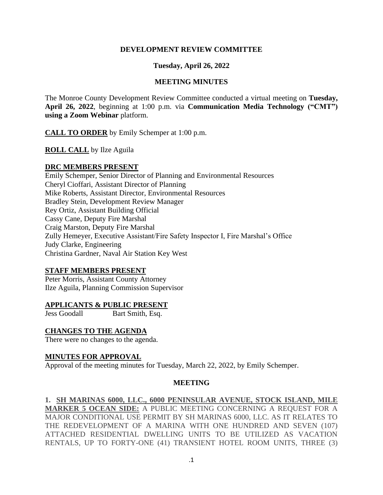#### **DEVELOPMENT REVIEW COMMITTEE**

### **Tuesday, April 26, 2022**

#### **MEETING MINUTES**

The Monroe County Development Review Committee conducted a virtual meeting on **Tuesday, April 26, 2022**, beginning at 1:00 p.m. via **Communication Media Technology ("CMT") using a Zoom Webinar** platform.

**CALL TO ORDER** by Emily Schemper at 1:00 p.m.

**ROLL CALL** by Ilze Aguila

### **DRC MEMBERS PRESENT**

Emily Schemper, Senior Director of Planning and Environmental Resources Cheryl Cioffari, Assistant Director of Planning Mike Roberts, Assistant Director, Environmental Resources Bradley Stein, Development Review Manager Rey Ortiz, Assistant Building Official Cassy Cane, Deputy Fire Marshal Craig Marston, Deputy Fire Marshal Zully Hemeyer, Executive Assistant/Fire Safety Inspector I, Fire Marshal's Office Judy Clarke, Engineering Christina Gardner, Naval Air Station Key West

# **STAFF MEMBERS PRESENT**

Peter Morris, Assistant County Attorney Ilze Aguila, Planning Commission Supervisor

#### **APPLICANTS & PUBLIC PRESENT**

Jess Goodall Bart Smith, Esq.

# **CHANGES TO THE AGENDA**

There were no changes to the agenda.

#### **MINUTES FOR APPROVAL**

Approval of the meeting minutes for Tuesday, March 22, 2022, by Emily Schemper.

# **MEETING**

# **1. SH MARINAS 6000, LLC., 6000 PENINSULAR AVENUE, STOCK ISLAND, MILE**

**MARKER 5 OCEAN SIDE:** A PUBLIC MEETING CONCERNING A REQUEST FOR A MAJOR CONDITIONAL USE PERMIT BY SH MARINAS 6000, LLC. AS IT RELATES TO THE REDEVELOPMENT OF A MARINA WITH ONE HUNDRED AND SEVEN (107) ATTACHED RESIDENTIAL DWELLING UNITS TO BE UTILIZED AS VACATION RENTALS, UP TO FORTY-ONE (41) TRANSIENT HOTEL ROOM UNITS, THREE (3)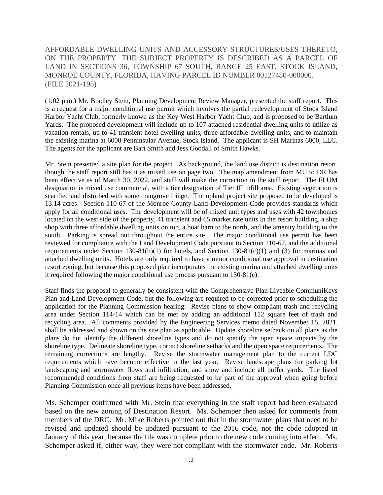AFFORDABLE DWELLING UNITS AND ACCESSORY STRUCTURES/USES THERETO, ON THE PROPERTY. THE SUBJECT PROPERTY IS DESCRIBED AS A PARCEL OF LAND IN SECTIONS 36, TOWNSHIP 67 SOUTH, RANGE 25 EAST, STOCK ISLAND, MONROE COUNTY, FLORIDA, HAVING PARCEL ID NUMBER 00127480-000000. (FILE 2021-195)

(1:02 p.m.) Mr. Bradley Stein, Planning Development Review Manager, presented the staff report. This is a request for a major conditional use permit which involves the partial redevelopment of Stock Island Harbor Yacht Club, formerly known as the Key West Harbor Yacht Club, and is proposed to be Bartlum Yards. The proposed development will include up to 107 attached residential dwelling units to utilize as vacation rentals, up to 41 transient hotel dwelling units, three affordable dwelling units, and to maintain the existing marina at 6000 Penninsular Avenue, Stock Island. The applicant is SH Marinas 6000, LLC. The agents for the applicant are Bart Smith and Jess Goodall of Smith Hawks.

Mr. Stein presented a site plan for the project. As background, the land use district is destination resort, though the staff report still has it as mixed use on page two. The map amendment from MU to DR has been effective as of March 30, 2022, and staff will make the correction in the staff report. The FLUM designation is mixed use commercial, with a tier designation of Tier III infill area. Existing vegetation is scarified and disturbed with some mangrove fringe. The upland project site proposed to be developed is 13.14 acres. Section 110-67 of the Monroe County Land Development Code provides standards which apply for all conditional uses. The development will be of mixed unit types and uses with 42 townhomes located on the west side of the property, 41 transient and 65 market rate units in the resort building, a ship shop with three affordable dwelling units on top, a boat barn to the north, and the amenity building to the south. Parking is spread out throughout the entire site. The major conditional use permit has been reviewed for compliance with the Land Development Code pursuant to Section 110-67, and the additional requirements under Section 130-81(b)(1) for hotels, and Section 130-81(c)(1) and (3) for marinas and attached dwelling units. Hotels are only required to have a minor conditional use approval in destination resort zoning, but because this proposed plan incorporates the existing marina and attached dwelling units it required following the major conditional use process pursuant to 130-81(c).

Staff finds the proposal to generally be consistent with the Comprehensive Plan Liveable CommuniKeys Plan and Land Development Code, but the following are required to be corrected prior to scheduling the application for the Planning Commission hearing: Revise plans to show compliant trash and recycling area under Section 114-14 which can be met by adding an additional 112 square feet of trash and recycling area. All comments provided by the Engineering Services memo dated November 15, 2021, shall be addressed and shown on the site plan as applicable. Update shoreline setback on all plans as the plans do not identify the different shoreline types and do not specify the open space impacts by the shoreline type. Delineate shoreline type, correct shoreline setbacks and the open space requirements. The remaining corrections are lengthy. Revise the stormwater management plan to the current LDC requirements which have become effective in the last year. Revise landscape plans for parking lot landscaping and stormwater flows and infiltration, and show and include all buffer yards. The listed recommended conditions from staff are being requested to be part of the approval when going before Planning Commission once all previous items have been addressed.

Ms. Schemper confirmed with Mr. Stein that everything in the staff report had been evaluated based on the new zoning of Destination Resort. Ms. Schemper then asked for comments from members of the DRC. Mr. Mike Roberts pointed out that in the stormwater plans that need to be revised and updated should be updated pursuant to the 2016 code, not the code adopted in January of this year, because the file was complete prior to the new code coming into effect. Ms. Schemper asked if, either way, they were not compliant with the stormwater code. Mr. Roberts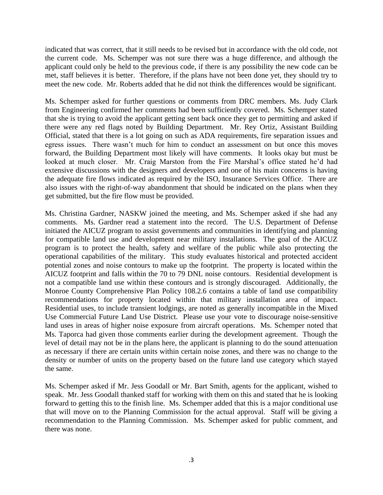indicated that was correct, that it still needs to be revised but in accordance with the old code, not the current code. Ms. Schemper was not sure there was a huge difference, and although the applicant could only be held to the previous code, if there is any possibility the new code can be met, staff believes it is better. Therefore, if the plans have not been done yet, they should try to meet the new code. Mr. Roberts added that he did not think the differences would be significant.

Ms. Schemper asked for further questions or comments from DRC members. Ms. Judy Clark from Engineering confirmed her comments had been sufficiently covered. Ms. Schemper stated that she is trying to avoid the applicant getting sent back once they get to permitting and asked if there were any red flags noted by Building Department. Mr. Rey Ortiz, Assistant Building Official, stated that there is a lot going on such as ADA requirements, fire separation issues and egress issues. There wasn't much for him to conduct an assessment on but once this moves forward, the Building Department most likely will have comments. It looks okay but must be looked at much closer. Mr. Craig Marston from the Fire Marshal's office stated he'd had extensive discussions with the designers and developers and one of his main concerns is having the adequate fire flows indicated as required by the ISO, Insurance Services Office. There are also issues with the right-of-way abandonment that should be indicated on the plans when they get submitted, but the fire flow must be provided.

Ms. Christina Gardner, NASKW joined the meeting, and Ms. Schemper asked if she had any comments. Ms. Gardner read a statement into the record. The U.S. Department of Defense initiated the AICUZ program to assist governments and communities in identifying and planning for compatible land use and development near military installations. The goal of the AICUZ program is to protect the health, safety and welfare of the public while also protecting the operational capabilities of the military. This study evaluates historical and protected accident potential zones and noise contours to make up the footprint. The property is located within the AICUZ footprint and falls within the 70 to 79 DNL noise contours. Residential development is not a compatible land use within these contours and is strongly discouraged. Additionally, the Monroe County Comprehensive Plan Policy 108.2.6 contains a table of land use compatibility recommendations for property located within that military installation area of impact. Residential uses, to include transient lodgings, are noted as generally incompatible in the Mixed Use Commercial Future Land Use District. Please use your vote to discourage noise-sensitive land uses in areas of higher noise exposure from aircraft operations. Ms. Schemper noted that Ms. Taporca had given those comments earlier during the development agreement. Though the level of detail may not be in the plans here, the applicant is planning to do the sound attenuation as necessary if there are certain units within certain noise zones, and there was no change to the density or number of units on the property based on the future land use category which stayed the same.

Ms. Schemper asked if Mr. Jess Goodall or Mr. Bart Smith, agents for the applicant, wished to speak. Mr. Jess Goodall thanked staff for working with them on this and stated that he is looking forward to getting this to the finish line. Ms. Schemper added that this is a major conditional use that will move on to the Planning Commission for the actual approval. Staff will be giving a recommendation to the Planning Commission. Ms. Schemper asked for public comment, and there was none.